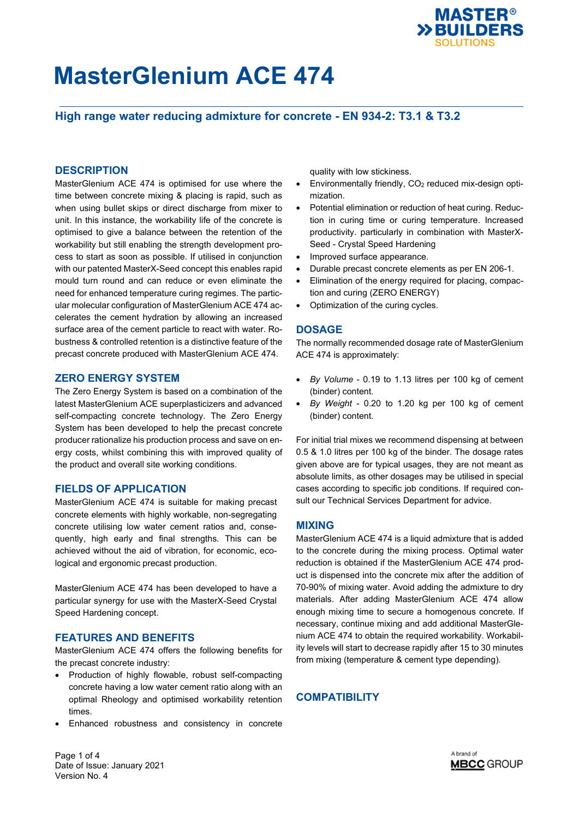

## **High range water reducing admixture for concrete - EN 934-2: T3.1 & T3.2**

### **DESCRIPTION**

MasterGlenium ACE 474 is optimised for use where the time between concrete mixing & placing is rapid, such as when using bullet skips or direct discharge from mixer to unit. In this instance, the workability life of the concrete is optimised to give a balance between the retention of the workability but still enabling the strength development process to start as soon as possible. If utilised in conjunction with our patented MasterX-Seed concept this enables rapid mould turn round and can reduce or even eliminate the need for enhanced temperature curing regimes. The particular molecular configuration of MasterGlenium ACE 474 accelerates the cement hydration by allowing an increased surface area of the cement particle to react with water. Robustness & controlled retention is a distinctive feature of the precast concrete produced with MasterGlenium ACE 474.

### **ZERO ENERGY SYSTEM**

The Zero Energy System is based on a combination of the latest MasterGlenium ACE superplasticizers and advanced self-compacting concrete technology. The Zero Energy System has been developed to help the precast concrete producer rationalize his production process and save on energy costs, whilst combining this with improved quality of the product and overall site working conditions.

### **FIELDS OF APPLICATION**

MasterGlenium ACE 474 is suitable for making precast concrete elements with highly workable, non-segregating concrete utilising low water cement ratios and, consequently, high early and final strengths. This can be achieved without the aid of vibration, for economic, ecological and ergonomic precast production.

MasterGlenium ACE 474 has been developed to have a particular synergy for use with the MasterX-Seed Crystal Speed Hardening concept.

## **FEATURES AND BENEFITS**

MasterGlenium ACE 474 offers the following benefits for the precast concrete industry:

- Production of highly flowable, robust self-compacting concrete having a low water cement ratio along with an optimal Rheology and optimised workability retention times.
- Enhanced robustness and consistency in concrete

quality with low stickiness.

- Environmentally friendly, CO2 reduced mix-design optimization.
- Potential elimination or reduction of heat curing. Reduction in curing time or curing temperature. Increased productivity. particularly in combination with MasterX-Seed - Crystal Speed Hardening
- Improved surface appearance.
- Durable precast concrete elements as per EN 206-1.
- Elimination of the energy required for placing, compaction and curing (ZERO ENERGY)
- Optimization of the curing cycles.

### **DOSAGE**

The normally recommended dosage rate of MasterGlenium ACE 474 is approximately:

- *By Volume* 0.19 to 1.13 litres per 100 kg of cement (binder) content.
- *By Weight* 0.20 to 1.20 kg per 100 kg of cement (binder) content.

For initial trial mixes we recommend dispensing at between 0.5 & 1.0 litres per 100 kg of the binder. The dosage rates given above are for typical usages, they are not meant as absolute limits, as other dosages may be utilised in special cases according to specific job conditions. If required consult our Technical Services Department for advice.

### **MIXING**

MasterGlenium ACE 474 is a liquid admixture that is added to the concrete during the mixing process. Optimal water reduction is obtained if the MasterGlenium ACE 474 product is dispensed into the concrete mix after the addition of 70-90% of mixing water. Avoid adding the admixture to dry materials. After adding MasterGlenium ACE 474 allow enough mixing time to secure a homogenous concrete. If necessary, continue mixing and add additional MasterGlenium ACE 474 to obtain the required workability. Workability levels will start to decrease rapidly after 15 to 30 minutes from mixing (temperature & cement type depending).

# **COMPATIBILITY**

Page 1 of 4 Date of Issue: January 2021 Version No. 4

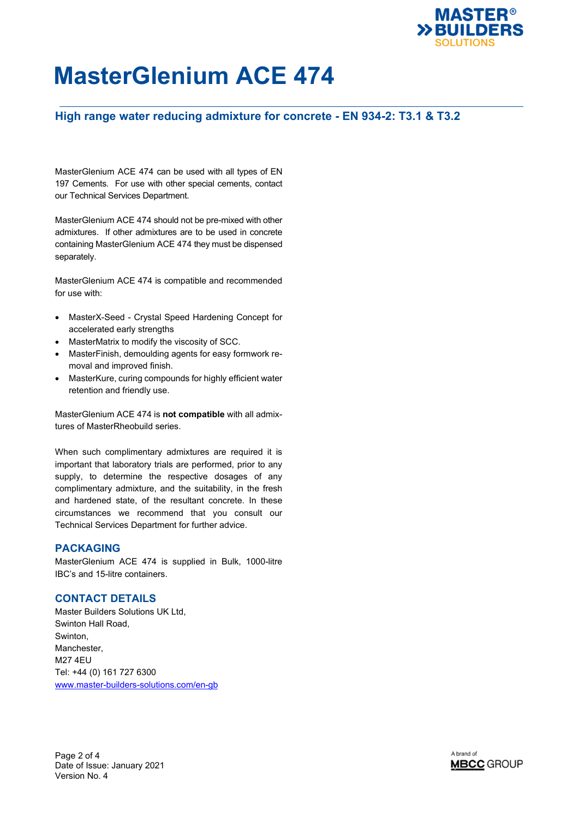

# **High range water reducing admixture for concrete - EN 934-2: T3.1 & T3.2**

MasterGlenium ACE 474 can be used with all types of EN 197 Cements. For use with other special cements, contact our Technical Services Department.

MasterGlenium ACE 474 should not be pre-mixed with other admixtures. If other admixtures are to be used in concrete containing MasterGlenium ACE 474 they must be dispensed separately.

MasterGlenium ACE 474 is compatible and recommended for use with:

- MasterX-Seed Crystal Speed Hardening Concept for accelerated early strengths
- MasterMatrix to modify the viscosity of SCC.
- MasterFinish, demoulding agents for easy formwork removal and improved finish.
- MasterKure, curing compounds for highly efficient water retention and friendly use.

MasterGlenium ACE 474 is **not compatible** with all admixtures of MasterRheobuild series.

When such complimentary admixtures are required it is important that laboratory trials are performed, prior to any supply, to determine the respective dosages of any complimentary admixture, and the suitability, in the fresh and hardened state, of the resultant concrete. In these circumstances we recommend that you consult our Technical Services Department for further advice.

## **PACKAGING**

MasterGlenium ACE 474 is supplied in Bulk, 1000-litre IBC's and 15-litre containers.

#### **CONTACT DETAILS**

Master Builders Solutions UK Ltd, Swinton Hall Road, Swinton, Manchester, M27 4EU Tel: +44 (0) 161 727 6300 [www.master-builders-solutions.com/en-gb](http://www.master-builders-solutions.com/en-gb)



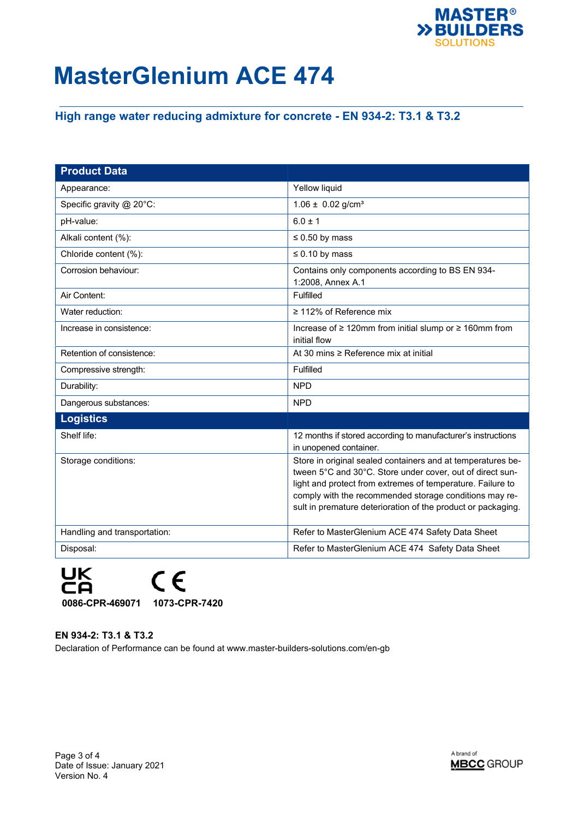

# **High range water reducing admixture for concrete - EN 934-2: T3.1 & T3.2**

| <b>Product Data</b>          |                                                                                                                                                                                                                                                                                                                  |
|------------------------------|------------------------------------------------------------------------------------------------------------------------------------------------------------------------------------------------------------------------------------------------------------------------------------------------------------------|
| Appearance:                  | Yellow liquid                                                                                                                                                                                                                                                                                                    |
| Specific gravity @ 20°C:     | $1.06 \pm 0.02$ g/cm <sup>3</sup>                                                                                                                                                                                                                                                                                |
| pH-value:                    | $6.0 \pm 1$                                                                                                                                                                                                                                                                                                      |
| Alkali content (%):          | $\leq 0.50$ by mass                                                                                                                                                                                                                                                                                              |
| Chloride content (%):        | $\leq 0.10$ by mass                                                                                                                                                                                                                                                                                              |
| Corrosion behaviour:         | Contains only components according to BS EN 934-<br>1:2008, Annex A.1                                                                                                                                                                                                                                            |
| Air Content:                 | Fulfilled                                                                                                                                                                                                                                                                                                        |
| Water reduction:             | $\geq$ 112% of Reference mix                                                                                                                                                                                                                                                                                     |
| Increase in consistence:     | Increase of ≥ 120mm from initial slump or ≥ 160mm from<br>initial flow                                                                                                                                                                                                                                           |
| Retention of consistence:    | At 30 mins ≥ Reference mix at initial                                                                                                                                                                                                                                                                            |
| Compressive strength:        | Fulfilled                                                                                                                                                                                                                                                                                                        |
| Durability:                  | <b>NPD</b>                                                                                                                                                                                                                                                                                                       |
| Dangerous substances:        | <b>NPD</b>                                                                                                                                                                                                                                                                                                       |
| <b>Logistics</b>             |                                                                                                                                                                                                                                                                                                                  |
| Shelf life:                  | 12 months if stored according to manufacturer's instructions<br>in unopened container.                                                                                                                                                                                                                           |
| Storage conditions:          | Store in original sealed containers and at temperatures be-<br>tween 5°C and 30°C. Store under cover, out of direct sun-<br>light and protect from extremes of temperature. Failure to<br>comply with the recommended storage conditions may re-<br>sult in premature deterioration of the product or packaging. |
| Handling and transportation: | Refer to MasterGlenium ACE 474 Safety Data Sheet                                                                                                                                                                                                                                                                 |
| Disposal:                    | Refer to MasterGlenium ACE 474 Safety Data Sheet                                                                                                                                                                                                                                                                 |



**EN 934-2: T3.1 & T3.2** Declaration of Performance can be found at www.master-builders-solutions.com/en-gb